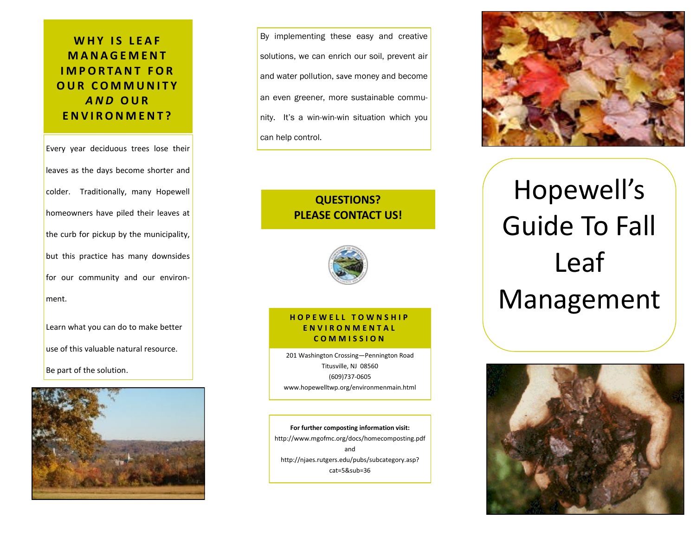## **WHY IS LEAF M A N A G E M E N T I M P O R TA N T F O R O U R C O M M U N I T Y**  *A N D* **O U R E N V I R O N M E N T ?**

Every year deciduous trees lose their leaves as the days become shorter and colder. Traditionally, many Hopewell homeowners have piled their leaves at the curb for pickup by the municipality, but this practice has many downsides for our community and our environment.

Learn what you can do to make better use of this valuable natural resource. Be part of the solution.



By implementing these easy and creative solutions, we can enrich our soil, prevent air and water pollution, save money and become an even greener, more sustainable community. It's a win-win-win situation which you can help control.

### **QUESTIONS? PLEASE CONTACT US!**



### **HOPEWELL TOWNSHIP E N V I R O N M E N T A L C O M M I S S I O N**

201 Washington Crossing—Pennington Road Titusville, NJ 08560 (609)737-0605 www.hopewelltwp.org/environmenmain.html

**For further composting information visit:** http://www.mgofmc.org/docs/homecomposting.pdf and http://njaes.rutgers.edu/pubs/subcategory.asp? cat=5&sub=36



# Hopewell's Guide To Fall Leaf Management